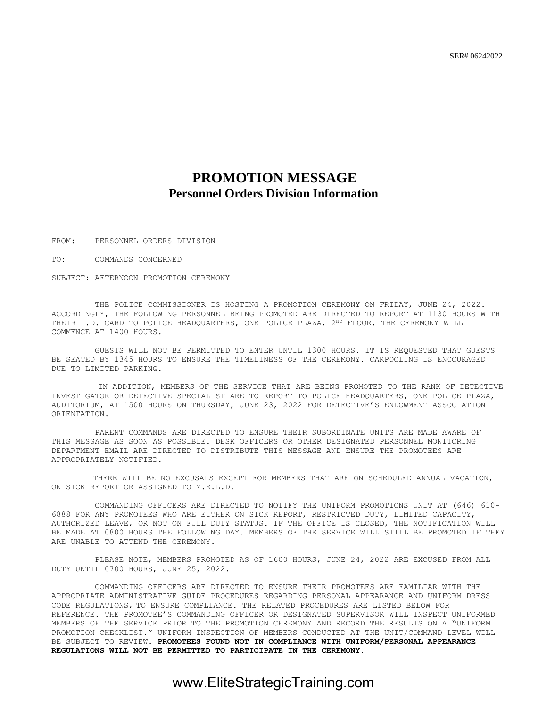## **PROMOTION MESSAGE Personnel Orders Division Information**

FROM: PERSONNEL ORDERS DIVISION

TO: COMMANDS CONCERNED

SUBJECT: AFTERNOON PROMOTION CEREMONY

THE POLICE COMMISSIONER IS HOSTING A PROMOTION CEREMONY ON FRIDAY, JUNE 24, 2022. ACCORDINGLY, THE FOLLOWING PERSONNEL BEING PROMOTED ARE DIRECTED TO REPORT AT 1130 HOURS WITH THEIR I.D. CARD TO POLICE HEADQUARTERS, ONE POLICE PLAZA, 2ND FLOOR. THE CEREMONY WILL COMMENCE AT 1400 HOURS.

GUESTS WILL NOT BE PERMITTED TO ENTER UNTIL 1300 HOURS. IT IS REQUESTED THAT GUESTS BE SEATED BY 1345 HOURS TO ENSURE THE TIMELINESS OF THE CEREMONY. CARPOOLING IS ENCOURAGED DUE TO LIMITED PARKING.

 IN ADDITION, MEMBERS OF THE SERVICE THAT ARE BEING PROMOTED TO THE RANK OF DETECTIVE INVESTIGATOR OR DETECTIVE SPECIALIST ARE TO REPORT TO POLICE HEADQUARTERS, ONE POLICE PLAZA, AUDITORIUM, AT 1500 HOURS ON THURSDAY, JUNE 23, 2022 FOR DETECTIVE'S ENDOWMENT ASSOCIATION ORIENTATION.

PARENT COMMANDS ARE DIRECTED TO ENSURE THEIR SUBORDINATE UNITS ARE MADE AWARE OF THIS MESSAGE AS SOON AS POSSIBLE. DESK OFFICERS OR OTHER DESIGNATED PERSONNEL MONITORING DEPARTMENT EMAIL ARE DIRECTED TO DISTRIBUTE THIS MESSAGE AND ENSURE THE PROMOTEES ARE APPROPRIATELY NOTIFIED.

 THERE WILL BE NO EXCUSALS EXCEPT FOR MEMBERS THAT ARE ON SCHEDULED ANNUAL VACATION, ON SICK REPORT OR ASSIGNED TO M.E.L.D.

COMMANDING OFFICERS ARE DIRECTED TO NOTIFY THE UNIFORM PROMOTIONS UNIT AT (646) 610- 6888 FOR ANY PROMOTEES WHO ARE EITHER ON SICK REPORT, RESTRICTED DUTY, LIMITED CAPACITY, AUTHORIZED LEAVE, OR NOT ON FULL DUTY STATUS. IF THE OFFICE IS CLOSED, THE NOTIFICATION WILL BE MADE AT 0800 HOURS THE FOLLOWING DAY. MEMBERS OF THE SERVICE WILL STILL BE PROMOTED IF THEY ARE UNABLE TO ATTEND THE CEREMONY.

PLEASE NOTE, MEMBERS PROMOTED AS OF 1600 HOURS, JUNE 24, 2022 ARE EXCUSED FROM ALL DUTY UNTIL 0700 HOURS, JUNE 25, 2022.

COMMANDING OFFICERS ARE DIRECTED TO ENSURE THEIR PROMOTEES ARE FAMILIAR WITH THE APPROPRIATE ADMINISTRATIVE GUIDE PROCEDURES REGARDING PERSONAL APPEARANCE AND UNIFORM DRESS CODE REGULATIONS, TO ENSURE COMPLIANCE. THE RELATED PROCEDURES ARE LISTED BELOW FOR REFERENCE. THE PROMOTEE'S COMMANDING OFFICER OR DESIGNATED SUPERVISOR WILL INSPECT UNIFORMED MEMBERS OF THE SERVICE PRIOR TO THE PROMOTION CEREMONY AND RECORD THE RESULTS ON A "UNIFORM PROMOTION CHECKLIST." UNIFORM INSPECTION OF MEMBERS CONDUCTED AT THE UNIT/COMMAND LEVEL WILL BE SUBJECT TO REVIEW. **PROMOTEES FOUND NOT IN COMPLIANCE WITH UNIFORM/PERSONAL APPEARANCE REGULATIONS WILL NOT BE PERMITTED TO PARTICIPATE IN THE CEREMONY.**

### www.EliteStrategicTraining.com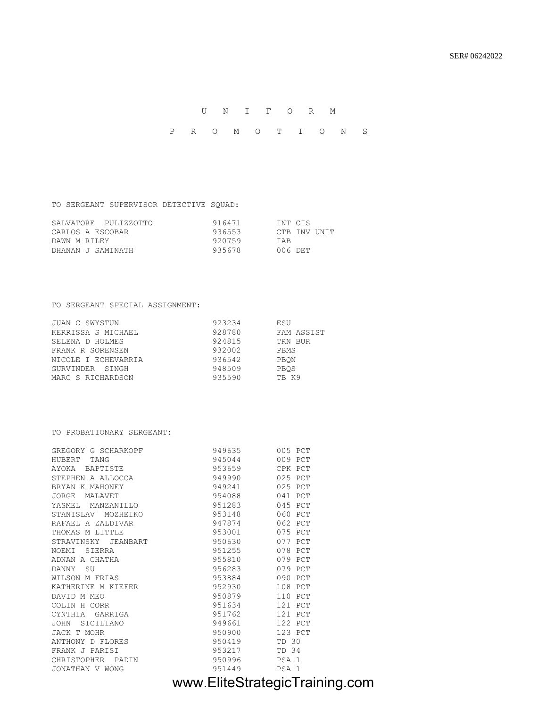U N I F O R M P R O M O T I O N S

TO SERGEANT SUPERVISOR DETECTIVE SQUAD:

| SALVATORE PULIZZOTTO | 916471 | INT CIS      |
|----------------------|--------|--------------|
| CARLOS A ESCOBAR     | 936553 | CTB INV UNIT |
| DAWN M RILEY         | 920759 | TAR          |
| DHANAN J SAMINATH    | 935678 | 006 DET      |

### TO SERGEANT SPECIAL ASSIGNMENT:

| JUAN C SWYSTUN      | 923234 | ESU        |
|---------------------|--------|------------|
| KERRISSA S MICHAEL  | 928780 | FAM ASSIST |
| SELENA D HOLMES     | 924815 | TRN BUR    |
| FRANK R SORENSEN    | 932002 | PBMS       |
| NICOLE I ECHEVARRIA | 936542 | PBON       |
| GURVINDER SINGH     | 948509 | PBOS       |
| MARC S RICHARDSON   | 935590 | TB K9      |

### TO PROBATIONARY SERGEANT:

| GREGORY G SCHARKOPF | 949635 | 005 PCT          |
|---------------------|--------|------------------|
| TANG<br>HUBERT      | 945044 | 009 PCT          |
| AYOKA BAPTISTE      | 953659 | CPK PCT          |
| STEPHEN A ALLOCCA   | 949990 | 025 PCT          |
| BRYAN K MAHONEY     | 949241 | 025 PCT          |
| JORGE<br>MALAVET    | 954088 | 041 PCT          |
| YASMEL MANZANILLO   | 951283 | 045 PCT          |
| STANISLAV MOZHEIKO  | 953148 | 060 PCT          |
| RAFAEL A ZALDIVAR   | 947874 | 062 PCT          |
| THOMAS M LITTLE     | 953001 | 075 PCT          |
| STRAVINSKY JEANBART | 950630 | 077 PCT          |
| SIERRA<br>NOEMI     | 951255 | 078 PCT          |
| ADNAN A CHATHA      | 955810 | 079 PCT          |
| <b>SU</b><br>DANNY  | 956283 | 079 PCT          |
| WILSON M FRIAS      | 953884 | 090 PCT          |
| KATHERINE M KIEFER  | 952930 | 108 PCT          |
| DAVID M MEO         | 950879 | 110 PCT          |
| COLIN H CORR        | 951634 | 121 PCT          |
| CYNTHIA GARRIGA     | 951762 | 121 PCT          |
| SICILIANO<br>JOHN   | 949661 | 122 PCT          |
| JACK T MOHR         | 950900 | 123 PCT          |
| ANTHONY D FLORES    | 950419 | TD 30            |
| FRANK J PARISI      | 953217 | TD 34            |
| CHRISTOPHER PADIN   | 950996 | PSA 1            |
| JONATHAN V WONG     | 951449 | PSA <sub>1</sub> |

# www.EliteStrategicTraining.com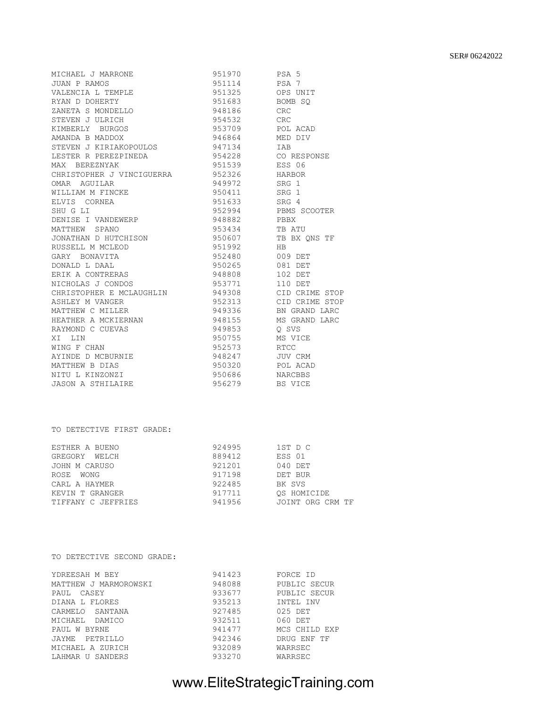#### SER# 06242022

| MICHAEL J MARRONE         | 951970      | PSA 5          |
|---------------------------|-------------|----------------|
| JUAN P RAMOS              | 951114      | PSA 7          |
| VALENCIA L TEMPLE         | 951325      | OPS UNIT       |
| RYAN D DOHERTY            | 951683      | BOMB SO        |
| ZANETA S MONDELLO         | 948186      | CRC.           |
| STEVEN J ULRICH           | 954532      | CRC —          |
| KIMBERLY BURGOS           | 953709      | POL ACAD       |
| AMANDA B MADDOX           | 946864      | MED DIV        |
| STEVEN J KIRIAKOPOULOS    | 947134      | <b>TAB</b>     |
| LESTER R PEREZPINEDA      | 954228      | CO RESPONSE    |
| MAX BEREZNYAK             | 951539      | ESS 06         |
| CHRISTOPHER J VINCIGUERRA | 952326      | HARBOR         |
| OMAR AGUILAR              | 949972      | SRG 1          |
| WILLIAM M FINCKE          | 950411      | SRG 1          |
| ELVIS CORNEA              | 951633      | SRG 4          |
| SHU G LI                  |             |                |
| DENISE I VANDEWERP        | 948882 PBBX |                |
| MATTHEW SPANO             | 953434      | TB ATU         |
| JONATHAN D HUTCHISON      | 950607      | TB BX QNS TF   |
| RUSSELL M MCLEOD          | 951992      | <b>HB</b>      |
| GARY BONAVITA             | 952480      | 009 DET        |
| DONALD L DAAL             | 950265      | 081 DET        |
| ERIK A CONTRERAS          | 948808      | 102 DET        |
| NICHOLAS J CONDOS         | 953771      | 110 DET        |
| CHRISTOPHER E MCLAUGHLIN  | 949308      | CID CRIME STOP |
| ASHLEY M VANGER           | 952313      | CID CRIME STOP |
| MATTHEW C MILLER          | 949336      | BN GRAND LARC  |
| HEATHER A MCKIERNAN       | 948155      | MS GRAND LARC  |
| RAYMOND C CUEVAS          | 949853      | O SVS          |
| XI LIN                    | 950755      | MS VICE        |
| WING F CHAN               | 952573      | <b>RTCC</b>    |
| AYINDE D MCBURNIE         | 948247      | <b>JUV CRM</b> |
| MATTHEW B DIAS            | 950320      | POL ACAD       |
| NITU L KINZONZI           | 950686      | <b>NARCBBS</b> |
| <b>JASON A STHILAIRE</b>  | 956279      | BS VICE        |
|                           |             |                |

### TO DETECTIVE FIRST GRADE:

| ESTHER A BUENO     | 924995 | 1ST D C          |
|--------------------|--------|------------------|
| GREGORY WELCH      | 889412 | ESS 01           |
| JOHN M CARUSO      | 921201 | 040 DET          |
| ROSE WONG          | 917198 | DET BUR          |
| CARL A HAYMER      | 922485 | BK SVS           |
| KEVIN T GRANGER    | 917711 | OS HOMICIDE      |
| TIFFANY C JEFFRIES | 941956 | JOINT ORG CRM TF |

#### TO DETECTIVE SECOND GRADE:

| YDREESAH M BEY        | 941423 | FORCE ID      |
|-----------------------|--------|---------------|
| MATTHEW J MARMOROWSKI | 948088 | PUBLIC SECUR  |
| PAUL CASEY            | 933677 | PUBLIC SECUR  |
| DIANA L FLORES        | 935213 | INTEL INV     |
| CARMELO SANTANA       | 927485 | 025 DET       |
| MICHAEL<br>DAMICO     | 932511 | 060 DET       |
| PAUL W BYRNE          | 941477 | MCS CHILD EXP |
| JAYME PETRILLO        | 942346 | DRUG ENF TF   |
| MICHAEL A ZURICH      | 932089 | WARRSEC       |
| LAHMAR U SANDERS      | 933270 | WARRSEC       |

# www.EliteStrategicTraining.com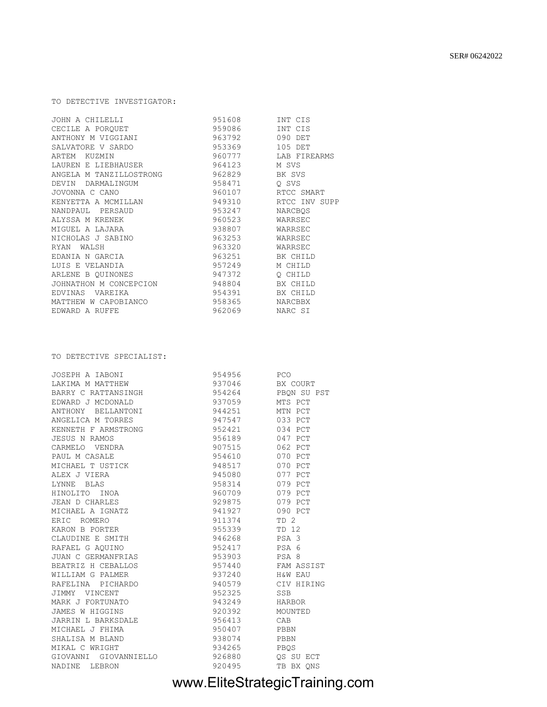# www.EliteStrategicTraining.com

| LAKIMA M MATTHEW             | 937046 | BX COURT         |
|------------------------------|--------|------------------|
| BARRY C RATTANSINGH          | 954264 | PBON SU PST      |
| EDWARD J MCDONALD            | 937059 | MTS PCT          |
| ANTHONY BELLANTONI           | 944251 | MTN PCT          |
| ANGELICA M TORRES            | 947547 | 033 PCT          |
| KENNETH F ARMSTRONG          | 952421 | 034 PCT          |
| JESUS N RAMOS                | 956189 | 047 PCT          |
| CARMELO VENDRA               | 907515 | 062 PCT          |
| PAUL M CASALE                | 954610 | 070 PCT          |
| MICHAEL T USTICK             | 948517 | 070 PCT          |
| ALEX J VIERA                 | 945080 | 077 PCT          |
| LYNNE BLAS                   | 958314 | 079 PCT          |
| HINOLITO INOA                | 960709 | 079 PCT          |
| JEAN D CHARLES               | 929875 | 079 PCT          |
| MICHAEL A IGNATZ             | 941927 | 090 PCT          |
| ERIC ROMERO                  | 911374 | TD <sub>2</sub>  |
| KARON B PORTER               | 955339 | TD 12            |
| CLAUDINE E SMITH             | 946268 | PSA <sub>3</sub> |
| RAFAEL G AQUINO              | 952417 | PSA 6            |
| JUAN C GERMANFRIAS           | 953903 | PSA 8            |
| BEATRIZ H CEBALLOS           | 957440 | FAM ASSIST       |
| WILLIAM G PALMER             | 937240 | H&W EAU          |
| RAFELINA PICHARDO            | 940579 | CIV HIRING       |
| JIMMY VINCENT                | 952325 | SSB              |
| MARK J FORTUNATO             | 943249 | HARBOR           |
| JAMES W HIGGINS              | 920392 | MOUNTED          |
| JARRIN L BARKSDALE           | 956413 | CAB              |
| MICHAEL J FHIMA              | 950407 | PBBN             |
| SHALISA M BLAND              | 938074 | PBBN             |
| MIKAL C WRIGHT               | 934265 | PBQS             |
| GIOVANNI GIOVANNIELLO 926880 |        | OS SU ECT        |
| NADINE LEBRON                | 920495 | TB BX QNS        |

#### TO DETECTIVE SPECIALIST:

| CECILE A POROUET        | 959086 | INT CIS       |
|-------------------------|--------|---------------|
| ANTHONY M VIGGIANI      | 963792 | 090 DET       |
| SALVATORE V SARDO       | 953369 | 105 DET       |
| ARTEM KUZMIN            | 960777 | LAB FIREARMS  |
| LAUREN E LIEBHAUSER     | 964123 | M SVS         |
| ANGELA M TANZILLOSTRONG | 962829 | BK SVS        |
| DEVIN DARMALINGUM       | 958471 | O SVS         |
| JOVONNA C CANO          | 960107 | RTCC SMART    |
| KENYETTA A MCMILLAN     | 949310 | RTCC INV SUPP |
| NANDPAUL PERSAUD        | 953247 | NARCBOS       |
| ALYSSA M KRENEK         | 960523 | WARRSEC       |
| MIGUEL A LAJARA         | 938807 | WARRSEC       |
| NICHOLAS J SABINO       | 963253 | WARRSEC       |
| RYAN WALSH              | 963320 | WARRSEC       |
| EDANIA N GARCIA         | 963251 | BK CHILD      |
| LUIS E VELANDIA         | 957249 | M CHILD       |
| ARLENE B OUINONES       | 947372 | O CHILD       |
| JOHNATHON M CONCEPCION  | 948804 | BX CHILD      |
| EDVINAS VAREIKA         | 954391 | BX CHILD      |
| MATTHEW W CAPOBIANCO    | 958365 | NARCBBX       |
| EDWARD A RUFFE          | 962069 | NARC SI       |

JOSEPH A IABONI 954956 PCO

JOHN A CHILELLI 951608 INT CIS

TO DETECTIVE INVESTIGATOR: